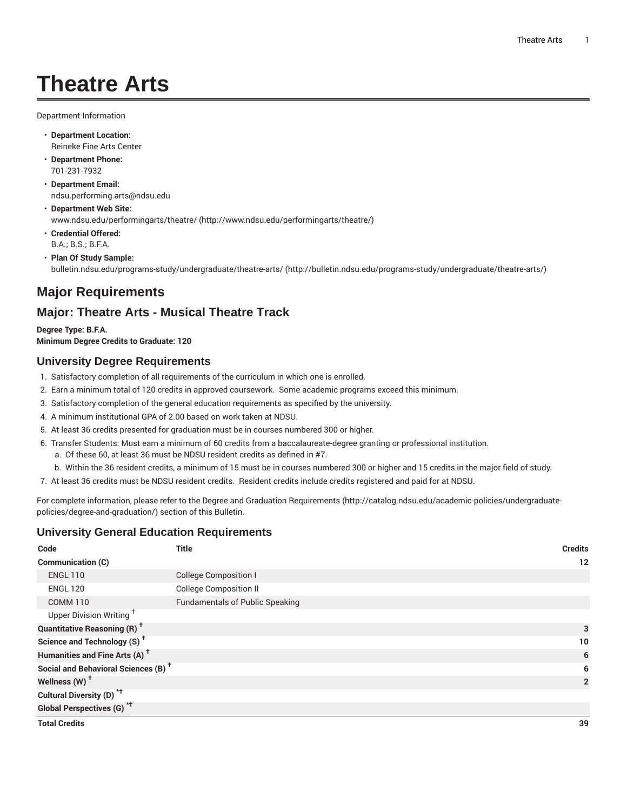# **Theatre Arts**

Department Information

- **Department Location:** Reineke Fine Arts Center
- **Department Phone:** 701-231-7932
- **Department Email:** [ndsu.performing.arts@ndsu.edu](mailto:ndsu.performing.arts@ndsu.edu)
- **Department Web Site:** [www.ndsu.edu/performingarts/theatre/](http://www.ndsu.edu/performingarts/theatre/) [\(http://www.ndsu.edu/performingarts/theatre/\)](http://www.ndsu.edu/performingarts/theatre/)
- **Credential Offered:** B.A.; B.S.; B.F.A.
- **Plan Of Study Sample:** [bulletin.ndsu.edu/programs-study/undergraduate/theatre-arts/ \(http://bulletin.ndsu.edu/programs-study/undergraduate/theatre-arts/](http://bulletin.ndsu.edu/programs-study/undergraduate/theatre-arts/))

# **Major Requirements**

# **Major: Theatre Arts - Musical Theatre Track**

**Degree Type: B.F.A. Minimum Degree Credits to Graduate: 120**

## **University Degree Requirements**

- 1. Satisfactory completion of all requirements of the curriculum in which one is enrolled.
- 2. Earn a minimum total of 120 credits in approved coursework. Some academic programs exceed this minimum.
- 3. Satisfactory completion of the general education requirements as specified by the university.
- 4. A minimum institutional GPA of 2.00 based on work taken at NDSU.
- 5. At least 36 credits presented for graduation must be in courses numbered 300 or higher.
- 6. Transfer Students: Must earn a minimum of 60 credits from a baccalaureate-degree granting or professional institution.
	- a. Of these 60, at least 36 must be NDSU resident credits as defined in #7.
- b. Within the 36 resident credits, a minimum of 15 must be in courses numbered 300 or higher and 15 credits in the major field of study.
- 7. At least 36 credits must be NDSU resident credits. Resident credits include credits registered and paid for at NDSU.

For complete information, please refer to the Degree and Graduation [Requirements](http://catalog.ndsu.edu/academic-policies/undergraduate-policies/degree-and-graduation/) ([http://catalog.ndsu.edu/academic-policies/undergraduate](http://catalog.ndsu.edu/academic-policies/undergraduate-policies/degree-and-graduation/)[policies/degree-and-graduation/\)](http://catalog.ndsu.edu/academic-policies/undergraduate-policies/degree-and-graduation/) section of this Bulletin.

## **University General Education Requirements**

| Code                                            | <b>Title</b>                           | <b>Credits</b> |
|-------------------------------------------------|----------------------------------------|----------------|
| Communication (C)                               |                                        | 12             |
| <b>ENGL 110</b>                                 | <b>College Composition I</b>           |                |
| <b>ENGL 120</b>                                 | <b>College Composition II</b>          |                |
| <b>COMM 110</b>                                 | <b>Fundamentals of Public Speaking</b> |                |
| Upper Division Writing <sup>+</sup>             |                                        |                |
| <b>Quantitative Reasoning (R)<sup>†</sup></b>   |                                        | 3              |
| Science and Technology (S) <sup>t</sup>         |                                        | 10             |
| Humanities and Fine Arts (A) <sup>+</sup>       |                                        | 6              |
| Social and Behavioral Sciences (B) <sup>+</sup> |                                        | 6              |
| Wellness (W) <sup>t</sup>                       |                                        | $\overline{2}$ |
| Cultural Diversity (D) <sup>*†</sup>            |                                        |                |
| <b>Global Perspectives (G)<sup>*†</sup></b>     |                                        |                |
| <b>Total Credits</b>                            |                                        | 39             |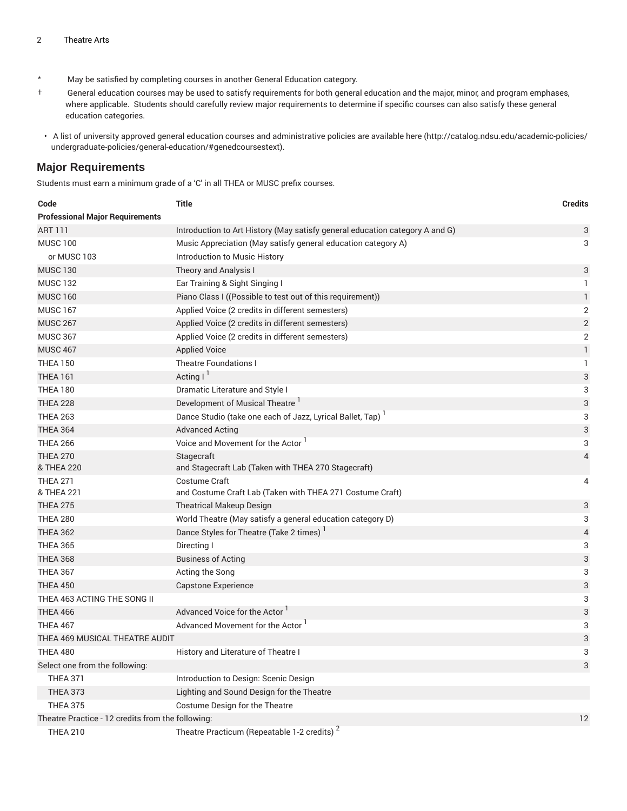- \* May be satisfied by completing courses in another General Education category.
- † General education courses may be used to satisfy requirements for both general education and the major, minor, and program emphases, where applicable. Students should carefully review major requirements to determine if specific courses can also satisfy these general education categories.
- A list of university approved general education courses and administrative policies are available [here](http://catalog.ndsu.edu/academic-policies/undergraduate-policies/general-education/#genedcoursestext) ([http://catalog.ndsu.edu/academic-policies/](http://catalog.ndsu.edu/academic-policies/undergraduate-policies/general-education/#genedcoursestext) [undergraduate-policies/general-education/#genedcoursestext](http://catalog.ndsu.edu/academic-policies/undergraduate-policies/general-education/#genedcoursestext)).

#### **Major Requirements**

Students must earn a minimum grade of a 'C' in all THEA or MUSC prefix courses.

| Code                                              | <b>Title</b>                                                                 | <b>Credits</b>            |
|---------------------------------------------------|------------------------------------------------------------------------------|---------------------------|
| <b>Professional Major Requirements</b>            |                                                                              |                           |
| <b>ART 111</b>                                    | Introduction to Art History (May satisfy general education category A and G) | 3                         |
| <b>MUSC 100</b>                                   | Music Appreciation (May satisfy general education category A)                | 3                         |
| or MUSC 103                                       | Introduction to Music History                                                |                           |
| <b>MUSC 130</b>                                   | Theory and Analysis I                                                        | 3                         |
| <b>MUSC 132</b>                                   | Ear Training & Sight Singing I                                               | 1                         |
| <b>MUSC 160</b>                                   | Piano Class I ((Possible to test out of this requirement))                   | $\mathbf{1}$              |
| <b>MUSC 167</b>                                   | Applied Voice (2 credits in different semesters)                             | 2                         |
| <b>MUSC 267</b>                                   | Applied Voice (2 credits in different semesters)                             | $\sqrt{2}$                |
| <b>MUSC 367</b>                                   | Applied Voice (2 credits in different semesters)                             | $\overline{2}$            |
| <b>MUSC 467</b>                                   | <b>Applied Voice</b>                                                         | $\mathbf{1}$              |
| <b>THEA 150</b>                                   | <b>Theatre Foundations I</b>                                                 | 1                         |
| <b>THEA 161</b>                                   | Acting $I^1$                                                                 | $\ensuremath{\mathsf{3}}$ |
| <b>THEA 180</b>                                   | Dramatic Literature and Style I                                              | 3                         |
| <b>THEA 228</b>                                   | Development of Musical Theatre <sup>1</sup>                                  | 3                         |
| <b>THEA 263</b>                                   | Dance Studio (take one each of Jazz, Lyrical Ballet, Tap)                    | 3                         |
| <b>THEA 364</b>                                   | <b>Advanced Acting</b>                                                       | 3                         |
| <b>THEA 266</b>                                   | Voice and Movement for the Actor                                             | 3                         |
| <b>THEA 270</b><br>& THEA 220                     | Stagecraft<br>and Stagecraft Lab (Taken with THEA 270 Stagecraft)            | 4                         |
| <b>THEA 271</b>                                   | Costume Craft                                                                | 4                         |
| & THEA 221                                        | and Costume Craft Lab (Taken with THEA 271 Costume Craft)                    |                           |
| <b>THEA 275</b>                                   | <b>Theatrical Makeup Design</b>                                              | 3                         |
| <b>THEA 280</b>                                   | World Theatre (May satisfy a general education category D)                   | 3                         |
| <b>THEA 362</b>                                   | Dance Styles for Theatre (Take 2 times)                                      | 4                         |
| <b>THEA 365</b>                                   | Directing I                                                                  | 3                         |
| <b>THEA 368</b>                                   | <b>Business of Acting</b>                                                    | 3                         |
| <b>THEA 367</b>                                   | Acting the Song                                                              | 3                         |
| <b>THEA 450</b>                                   | <b>Capstone Experience</b>                                                   | 3                         |
| THEA 463 ACTING THE SONG II                       |                                                                              | 3                         |
| <b>THEA 466</b>                                   | Advanced Voice for the Actor <sup>1</sup>                                    | 3                         |
| <b>THEA 467</b>                                   | Advanced Movement for the Actor                                              | 3                         |
| THEA 469 MUSICAL THEATRE AUDIT                    |                                                                              | 3                         |
| <b>THEA 480</b>                                   | History and Literature of Theatre I                                          | 3                         |
| Select one from the following:                    |                                                                              | 3                         |
| <b>THEA 371</b>                                   | Introduction to Design: Scenic Design                                        |                           |
| <b>THEA 373</b>                                   | Lighting and Sound Design for the Theatre                                    |                           |
| <b>THEA 375</b>                                   | Costume Design for the Theatre                                               |                           |
| Theatre Practice - 12 credits from the following: |                                                                              | 12                        |
| <b>THEA 210</b>                                   | Theatre Practicum (Repeatable 1-2 credits) <sup>2</sup>                      |                           |